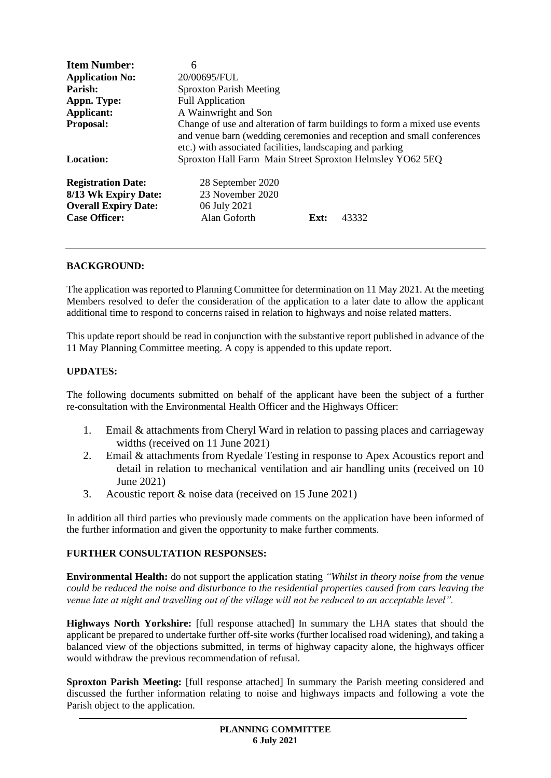| <b>Item Number:</b>                                                                                      | 6                                                                                                                                                                                                                |
|----------------------------------------------------------------------------------------------------------|------------------------------------------------------------------------------------------------------------------------------------------------------------------------------------------------------------------|
| <b>Application No:</b>                                                                                   | 20/00695/FUL                                                                                                                                                                                                     |
| Parish:                                                                                                  | <b>Sproxton Parish Meeting</b>                                                                                                                                                                                   |
| Appn. Type:                                                                                              | <b>Full Application</b>                                                                                                                                                                                          |
| Applicant:                                                                                               | A Wainwright and Son                                                                                                                                                                                             |
| <b>Proposal:</b>                                                                                         | Change of use and alteration of farm buildings to form a mixed use events<br>and venue barn (wedding ceremonies and reception and small conferences<br>etc.) with associated facilities, landscaping and parking |
| Location:                                                                                                | Sproxton Hall Farm Main Street Sproxton Helmsley YO62 5EQ                                                                                                                                                        |
| <b>Registration Date:</b><br>8/13 Wk Expiry Date:<br><b>Overall Expiry Date:</b><br><b>Case Officer:</b> | 28 September 2020<br>23 November 2020<br>06 July 2021<br>Alan Goforth<br>43332<br>Ext:                                                                                                                           |

# **BACKGROUND:**

The application was reported to Planning Committee for determination on 11 May 2021. At the meeting Members resolved to defer the consideration of the application to a later date to allow the applicant additional time to respond to concerns raised in relation to highways and noise related matters.

This update report should be read in conjunction with the substantive report published in advance of the 11 May Planning Committee meeting. A copy is appended to this update report.

#### **UPDATES:**

The following documents submitted on behalf of the applicant have been the subject of a further re-consultation with the Environmental Health Officer and the Highways Officer:

- 1. Email & attachments from Cheryl Ward in relation to passing places and carriageway widths (received on 11 June 2021)
- 2. Email & attachments from Ryedale Testing in response to Apex Acoustics report and detail in relation to mechanical ventilation and air handling units (received on 10 June 2021)
- 3. Acoustic report & noise data (received on 15 June 2021)

In addition all third parties who previously made comments on the application have been informed of the further information and given the opportunity to make further comments.

# **FURTHER CONSULTATION RESPONSES:**

**Environmental Health:** do not support the application stating *"Whilst in theory noise from the venue could be reduced the noise and disturbance to the residential properties caused from cars leaving the venue late at night and travelling out of the village will not be reduced to an acceptable level".*

**Highways North Yorkshire:** [full response attached] In summary the LHA states that should the applicant be prepared to undertake further off-site works (further localised road widening), and taking a balanced view of the objections submitted, in terms of highway capacity alone, the highways officer would withdraw the previous recommendation of refusal.

**Sproxton Parish Meeting:** [full response attached] In summary the Parish meeting considered and discussed the further information relating to noise and highways impacts and following a vote the Parish object to the application.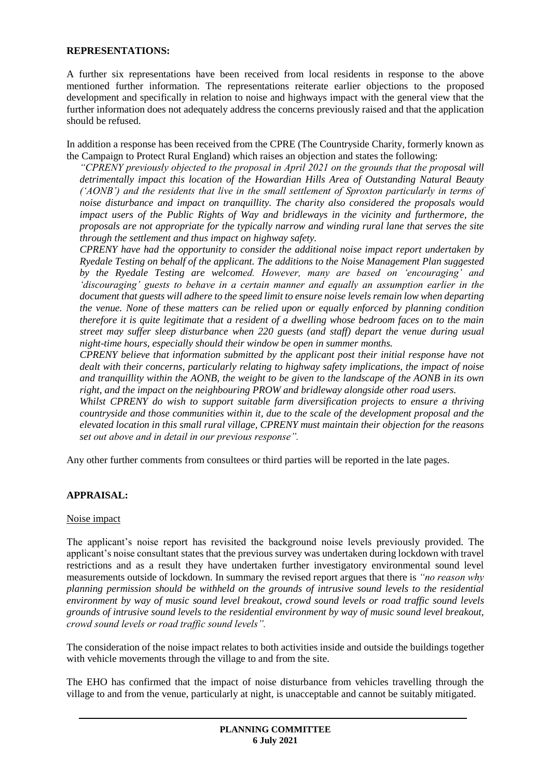#### **REPRESENTATIONS:**

A further six representations have been received from local residents in response to the above mentioned further information. The representations reiterate earlier objections to the proposed development and specifically in relation to noise and highways impact with the general view that the further information does not adequately address the concerns previously raised and that the application should be refused.

In addition a response has been received from the CPRE (The Countryside Charity, formerly known as the Campaign to Protect Rural England) which raises an objection and states the following:

*"CPRENY previously objected to the proposal in April 2021 on the grounds that the proposal will detrimentally impact this location of the Howardian Hills Area of Outstanding Natural Beauty ('AONB') and the residents that live in the small settlement of Sproxton particularly in terms of noise disturbance and impact on tranquillity. The charity also considered the proposals would impact users of the Public Rights of Way and bridleways in the vicinity and furthermore, the proposals are not appropriate for the typically narrow and winding rural lane that serves the site through the settlement and thus impact on highway safety.*

*CPRENY have had the opportunity to consider the additional noise impact report undertaken by Ryedale Testing on behalf of the applicant. The additions to the Noise Management Plan suggested by the Ryedale Testing are welcomed. However, many are based on 'encouraging' and 'discouraging' guests to behave in a certain manner and equally an assumption earlier in the document that guests will adhere to the speed limit to ensure noise levels remain low when departing the venue. None of these matters can be relied upon or equally enforced by planning condition therefore it is quite legitimate that a resident of a dwelling whose bedroom faces on to the main street may suffer sleep disturbance when 220 guests (and staff) depart the venue during usual night-time hours, especially should their window be open in summer months.*

*CPRENY believe that information submitted by the applicant post their initial response have not dealt with their concerns, particularly relating to highway safety implications, the impact of noise and tranquillity within the AONB, the weight to be given to the landscape of the AONB in its own right, and the impact on the neighbouring PROW and bridleway alongside other road users.*

*Whilst CPRENY do wish to support suitable farm diversification projects to ensure a thriving countryside and those communities within it, due to the scale of the development proposal and the elevated location in this small rural village, CPRENY must maintain their objection for the reasons set out above and in detail in our previous response".*

Any other further comments from consultees or third parties will be reported in the late pages.

# **APPRAISAL:**

#### Noise impact

The applicant's noise report has revisited the background noise levels previously provided. The applicant's noise consultant states that the previous survey was undertaken during lockdown with travel restrictions and as a result they have undertaken further investigatory environmental sound level measurements outside of lockdown. In summary the revised report argues that there is *"no reason why planning permission should be withheld on the grounds of intrusive sound levels to the residential environment by way of music sound level breakout, crowd sound levels or road traffic sound levels grounds of intrusive sound levels to the residential environment by way of music sound level breakout, crowd sound levels or road traffic sound levels".*

The consideration of the noise impact relates to both activities inside and outside the buildings together with vehicle movements through the village to and from the site.

The EHO has confirmed that the impact of noise disturbance from vehicles travelling through the village to and from the venue, particularly at night, is unacceptable and cannot be suitably mitigated.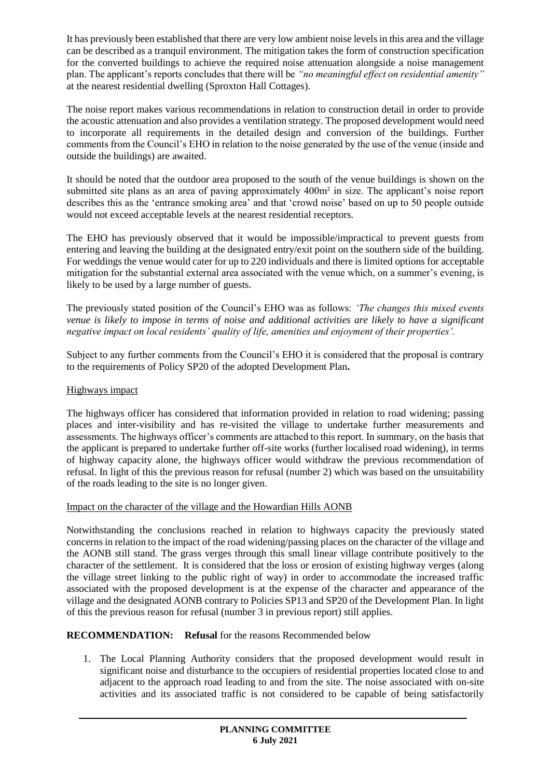It has previously been established that there are very low ambient noise levels in this area and the village can be described as a tranquil environment. The mitigation takes the form of construction specification for the converted buildings to achieve the required noise attenuation alongside a noise management plan. The applicant's reports concludes that there will be *"no meaningful effect on residential amenity"* at the nearest residential dwelling (Sproxton Hall Cottages).

The noise report makes various recommendations in relation to construction detail in order to provide the acoustic attenuation and also provides a ventilation strategy. The proposed development would need to incorporate all requirements in the detailed design and conversion of the buildings. Further comments from the Council's EHO in relation to the noise generated by the use of the venue (inside and outside the buildings) are awaited.

It should be noted that the outdoor area proposed to the south of the venue buildings is shown on the submitted site plans as an area of paving approximately 400m² in size. The applicant's noise report describes this as the 'entrance smoking area' and that 'crowd noise' based on up to 50 people outside would not exceed acceptable levels at the nearest residential receptors.

The EHO has previously observed that it would be impossible/impractical to prevent guests from entering and leaving the building at the designated entry/exit point on the southern side of the building. For weddings the venue would cater for up to 220 individuals and there is limited options for acceptable mitigation for the substantial external area associated with the venue which, on a summer's evening, is likely to be used by a large number of guests.

The previously stated position of the Council's EHO was as follows: *'The changes this mixed events venue is likely to impose in terms of noise and additional activities are likely to have a significant negative impact on local residents' quality of life, amenities and enjoyment of their properties'.*

Subject to any further comments from the Council's EHO it is considered that the proposal is contrary to the requirements of Policy SP20 of the adopted Development Plan**.**

# Highways impact

The highways officer has considered that information provided in relation to road widening; passing places and inter-visibility and has re-visited the village to undertake further measurements and assessments. The highways officer's comments are attached to this report. In summary, on the basis that the applicant is prepared to undertake further off-site works (further localised road widening), in terms of highway capacity alone, the highways officer would withdraw the previous recommendation of refusal. In light of this the previous reason for refusal (number 2) which was based on the unsuitability of the roads leading to the site is no longer given.

# Impact on the character of the village and the Howardian Hills AONB

Notwithstanding the conclusions reached in relation to highways capacity the previously stated concerns in relation to the impact of the road widening/passing places on the character of the village and the AONB still stand. The grass verges through this small linear village contribute positively to the character of the settlement. It is considered that the loss or erosion of existing highway verges (along the village street linking to the public right of way) in order to accommodate the increased traffic associated with the proposed development is at the expense of the character and appearance of the village and the designated AONB contrary to Policies SP13 and SP20 of the Development Plan. In light of this the previous reason for refusal (number 3 in previous report) still applies.

# **RECOMMENDATION:** Refusal for the reasons Recommended below

1. The Local Planning Authority considers that the proposed development would result in significant noise and disturbance to the occupiers of residential properties located close to and adjacent to the approach road leading to and from the site. The noise associated with on-site activities and its associated traffic is not considered to be capable of being satisfactorily